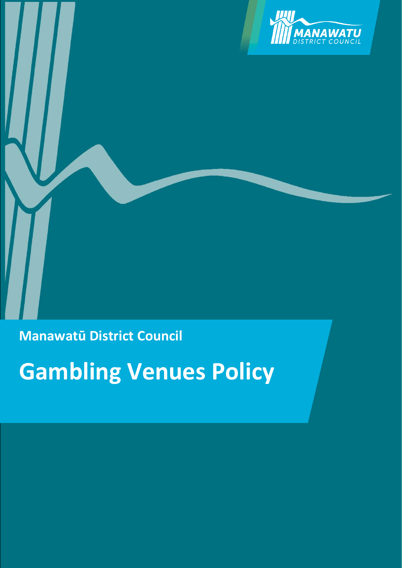

**Manawatū District Council**

**Gambling Venues Policy**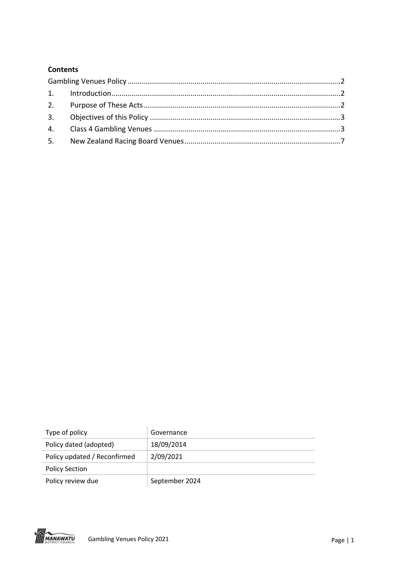## **Contents**

| Type of policy               | Governance     |
|------------------------------|----------------|
| Policy dated (adopted)       | 18/09/2014     |
| Policy updated / Reconfirmed | 2/09/2021      |
| <b>Policy Section</b>        |                |
| Policy review due            | September 2024 |

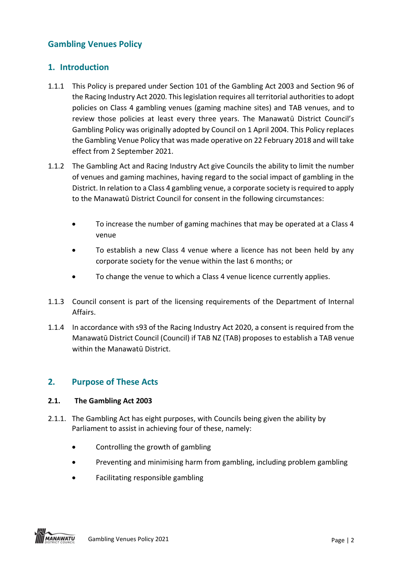# <span id="page-2-0"></span>**Gambling Venues Policy**

## <span id="page-2-1"></span>**1. Introduction**

- 1.1.1 This Policy is prepared under Section 101 of the Gambling Act 2003 and Section 96 of the Racing Industry Act 2020. This legislation requires all territorial authorities to adopt policies on Class 4 gambling venues (gaming machine sites) and TAB venues, and to review those policies at least every three years. The Manawatū District Council's Gambling Policy was originally adopted by Council on 1 April 2004. This Policy replaces the Gambling Venue Policy that was made operative on 22 February 2018 and will take effect from 2 September 2021.
- 1.1.2 The Gambling Act and Racing Industry Act give Councils the ability to limit the number of venues and gaming machines, having regard to the social impact of gambling in the District. In relation to a Class 4 gambling venue, a corporate society is required to apply to the Manawatū District Council for consent in the following circumstances:
	- To increase the number of gaming machines that may be operated at a Class 4 venue
	- To establish a new Class 4 venue where a licence has not been held by any corporate society for the venue within the last 6 months; or
	- To change the venue to which a Class 4 venue licence currently applies.
- 1.1.3 Council consent is part of the licensing requirements of the Department of Internal Affairs.
- 1.1.4 In accordance with s93 of the Racing Industry Act 2020, a consent is required from the Manawatū District Council (Council) if TAB NZ (TAB) proposes to establish a TAB venue within the Manawatū District.

# <span id="page-2-2"></span>**2. Purpose of These Acts**

## **2.1. The Gambling Act 2003**

- 2.1.1. The Gambling Act has eight purposes, with Councils being given the ability by Parliament to assist in achieving four of these, namely:
	- Controlling the growth of gambling
	- Preventing and minimising harm from gambling, including problem gambling
	- Facilitating responsible gambling

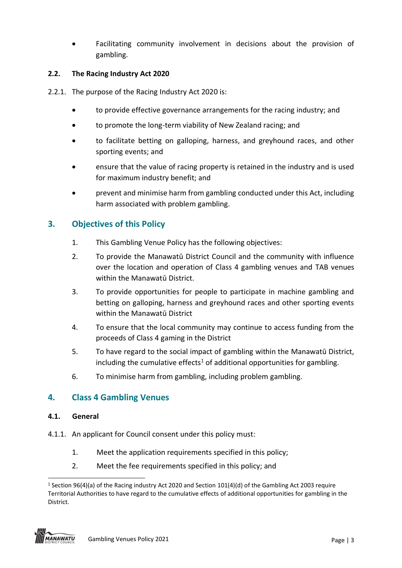• Facilitating community involvement in decisions about the provision of gambling.

## **2.2. The Racing Industry Act 2020**

- 2.2.1. The purpose of the Racing Industry Act 2020 is:
	- to provide effective governance arrangements for the racing industry; and
	- to promote the long-term viability of New Zealand racing; and
	- to facilitate betting on galloping, harness, and greyhound races, and other sporting events; and
	- ensure that the value of racing property is retained in the industry and is used for maximum industry benefit; and
	- prevent and minimise harm from gambling conducted under this Act, including harm associated with problem gambling.

# <span id="page-3-0"></span>**3. Objectives of this Policy**

- 1. This Gambling Venue Policy has the following objectives:
- 2. To provide the Manawatū District Council and the community with influence over the location and operation of Class 4 gambling venues and TAB venues within the Manawatū District.
- 3. To provide opportunities for people to participate in machine gambling and betting on galloping, harness and greyhound races and other sporting events within the Manawatū District
- 4. To ensure that the local community may continue to access funding from the proceeds of Class 4 gaming in the District
- 5. To have regard to the social impact of gambling within the Manawatū District, including the cumulative effects<sup>1</sup> of additional opportunities for gambling.
- 6. To minimise harm from gambling, including problem gambling.

# <span id="page-3-1"></span>**4. Class 4 Gambling Venues**

## **4.1. General**

- 4.1.1. An applicant for Council consent under this policy must:
	- 1. Meet the application requirements specified in this policy;
	- 2. Meet the fee requirements specified in this policy; and

 $\overline{\phantom{0}}$ <sup>1</sup> Section 96(4)(a) of the Racing industry Act 2020 and Section 101(4)(d) of the Gambling Act 2003 require Territorial Authorities to have regard to the cumulative effects of additional opportunities for gambling in the District.

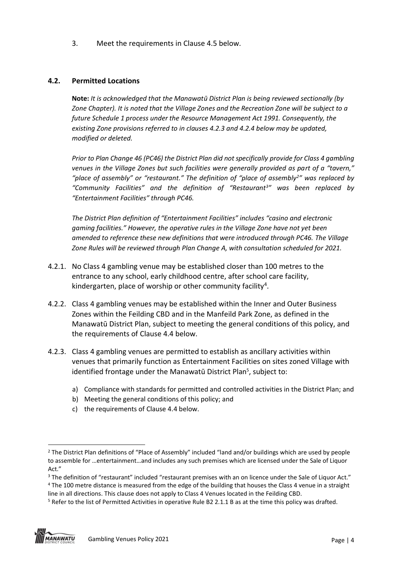3. Meet the requirements in Clause 4.5 below.

### **4.2. Permitted Locations**

**Note:** *It is acknowledged that the Manawatū District Plan is being reviewed sectionally (by Zone Chapter). It is noted that the Village Zones and the Recreation Zone will be subject to a future Schedule 1 process under the Resource Management Act 1991. Consequently, the existing Zone provisions referred to in clauses 4.2.3 and 4.2.4 below may be updated, modified or deleted.*

*Prior to Plan Change 46 (PC46) the District Plan did not specifically provide for Class 4 gambling venues in the Village Zones but such facilities were generally provided as part of a "tavern," "place of assembly" or "restaurant." The definition of "place of assembly<sup>2</sup> " was replaced by "Community Facilities" and the definition of "Restaurant<sup>3</sup> " was been replaced by "Entertainment Facilities" through PC46.*

*The District Plan definition of "Entertainment Facilities" includes "casino and electronic gaming facilities." However, the operative rules in the Village Zone have not yet been amended to reference these new definitions that were introduced through PC46. The Village Zone Rules will be reviewed through Plan Change A, with consultation scheduled for 2021.*

- 4.2.1. No Class 4 gambling venue may be established closer than 100 metres to the entrance to any school, early childhood centre, after school care facility, kindergarten, place of worship or other community facility<sup>4</sup>.
- 4.2.2. Class 4 gambling venues may be established within the Inner and Outer Business Zones within the Feilding CBD and in the Manfeild Park Zone, as defined in the Manawatū District Plan, subject to meeting the general conditions of this policy, and the requirements of Clause 4.4 below.
- 4.2.3. Class 4 gambling venues are permitted to establish as ancillary activities within venues that primarily function as Entertainment Facilities on sites zoned Village with identified frontage under the Manawatū District Plan<sup>5</sup>, subject to:
	- a) Compliance with standards for permitted and controlled activities in the District Plan; and
	- b) Meeting the general conditions of this policy; and
	- c) the requirements of Clause 4.4 below.

<sup>5</sup> Refer to the list of Permitted Activities in operative Rule B2 2.1.1 B as at the time this policy was drafted.



l

<sup>2</sup> The District Plan definitions of "Place of Assembly" included "land and/or buildings which are used by people to assemble for …entertainment…and includes any such premises which are licensed under the Sale of Liquor Act."

<sup>&</sup>lt;sup>3</sup> The definition of "restaurant" included "restaurant premises with an on licence under the Sale of Liquor Act." <sup>4</sup> The 100 metre distance is measured from the edge of the building that houses the Class 4 venue in a straight line in all directions. This clause does not apply to Class 4 Venues located in the Feilding CBD.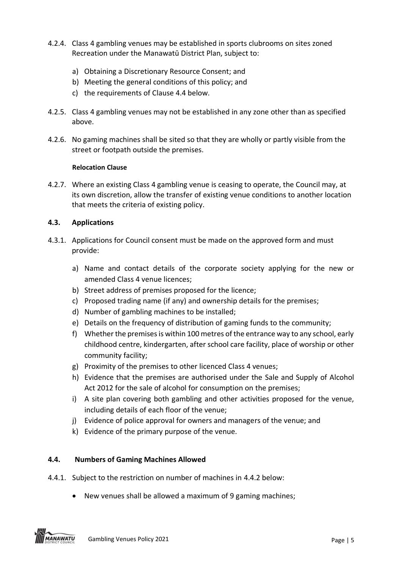- 4.2.4. Class 4 gambling venues may be established in sports clubrooms on sites zoned Recreation under the Manawatū District Plan, subject to:
	- a) Obtaining a Discretionary Resource Consent; and
	- b) Meeting the general conditions of this policy; and
	- c) the requirements of Clause 4.4 below.
- 4.2.5. Class 4 gambling venues may not be established in any zone other than as specified above.
- 4.2.6. No gaming machines shall be sited so that they are wholly or partly visible from the street or footpath outside the premises.

#### **Relocation Clause**

4.2.7. Where an existing Class 4 gambling venue is ceasing to operate, the Council may, at its own discretion, allow the transfer of existing venue conditions to another location that meets the criteria of existing policy.

#### **4.3. Applications**

- 4.3.1. Applications for Council consent must be made on the approved form and must provide:
	- a) Name and contact details of the corporate society applying for the new or amended Class 4 venue licences;
	- b) Street address of premises proposed for the licence;
	- c) Proposed trading name (if any) and ownership details for the premises;
	- d) Number of gambling machines to be installed;
	- e) Details on the frequency of distribution of gaming funds to the community;
	- f) Whether the premises is within 100 metres of the entrance way to any school, early childhood centre, kindergarten, after school care facility, place of worship or other community facility;
	- g) Proximity of the premises to other licenced Class 4 venues;
	- h) Evidence that the premises are authorised under the Sale and Supply of Alcohol Act 2012 for the sale of alcohol for consumption on the premises;
	- i) A site plan covering both gambling and other activities proposed for the venue, including details of each floor of the venue;
	- j) Evidence of police approval for owners and managers of the venue; and
	- k) Evidence of the primary purpose of the venue.

#### **4.4. Numbers of Gaming Machines Allowed**

- 4.4.1. Subject to the restriction on number of machines in 4.4.2 below:
	- New venues shall be allowed a maximum of 9 gaming machines;

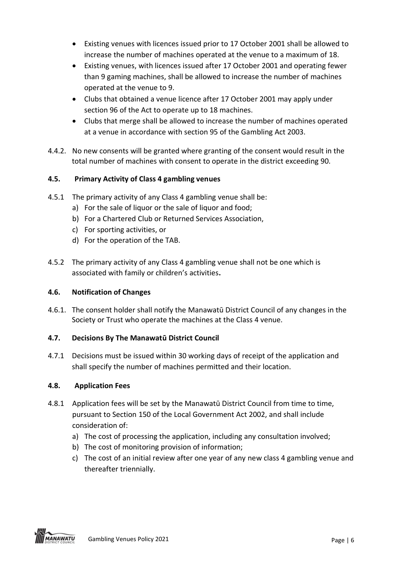- Existing venues with licences issued prior to 17 October 2001 shall be allowed to increase the number of machines operated at the venue to a maximum of 18.
- Existing venues, with licences issued after 17 October 2001 and operating fewer than 9 gaming machines, shall be allowed to increase the number of machines operated at the venue to 9.
- Clubs that obtained a venue licence after 17 October 2001 may apply under section 96 of the Act to operate up to 18 machines.
- Clubs that merge shall be allowed to increase the number of machines operated at a venue in accordance with section 95 of the Gambling Act 2003.
- 4.4.2. No new consents will be granted where granting of the consent would result in the total number of machines with consent to operate in the district exceeding 90.

## **4.5. Primary Activity of Class 4 gambling venues**

- 4.5.1 The primary activity of any Class 4 gambling venue shall be:
	- a) For the sale of liquor or the sale of liquor and food;
	- b) For a Chartered Club or Returned Services Association,
	- c) For sporting activities, or
	- d) For the operation of the TAB.
- 4.5.2 The primary activity of any Class 4 gambling venue shall not be one which is associated with family or children's activities**.**

## **4.6. Notification of Changes**

4.6.1. The consent holder shall notify the Manawatū District Council of any changes in the Society or Trust who operate the machines at the Class 4 venue.

## **4.7. Decisions By The Manawatū District Council**

4.7.1 Decisions must be issued within 30 working days of receipt of the application and shall specify the number of machines permitted and their location.

## **4.8. Application Fees**

- 4.8.1 Application fees will be set by the Manawatū District Council from time to time, pursuant to Section 150 of the Local Government Act 2002, and shall include consideration of:
	- a) The cost of processing the application, including any consultation involved;
	- b) The cost of monitoring provision of information;
	- c) The cost of an initial review after one year of any new class 4 gambling venue and thereafter triennially.

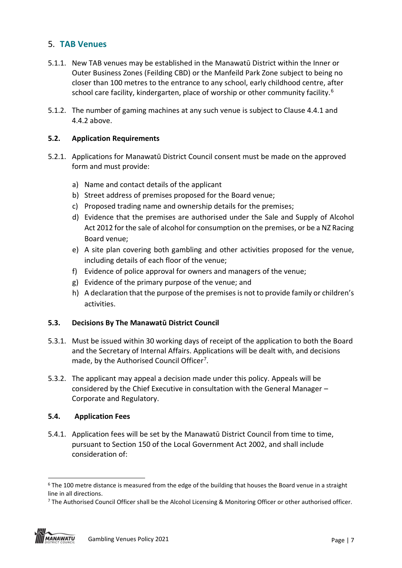# <span id="page-7-0"></span>5. **TAB Venues**

- 5.1.1. New TAB venues may be established in the Manawatū District within the Inner or Outer Business Zones (Feilding CBD) or the Manfeild Park Zone subject to being no closer than 100 metres to the entrance to any school, early childhood centre, after school care facility, kindergarten, place of worship or other community facility.<sup>6</sup>
- 5.1.2. The number of gaming machines at any such venue is subject to Clause 4.4.1 and 4.4.2 above.

### **5.2. Application Requirements**

- 5.2.1. Applications for Manawatū District Council consent must be made on the approved form and must provide:
	- a) Name and contact details of the applicant
	- b) Street address of premises proposed for the Board venue;
	- c) Proposed trading name and ownership details for the premises;
	- d) Evidence that the premises are authorised under the Sale and Supply of Alcohol Act 2012 for the sale of alcohol for consumption on the premises, or be a NZ Racing Board venue;
	- e) A site plan covering both gambling and other activities proposed for the venue, including details of each floor of the venue;
	- f) Evidence of police approval for owners and managers of the venue;
	- g) Evidence of the primary purpose of the venue; and
	- h) A declaration that the purpose of the premises is not to provide family or children's activities.

#### **5.3. Decisions By The Manawatū District Council**

- 5.3.1. Must be issued within 30 working days of receipt of the application to both the Board and the Secretary of Internal Affairs. Applications will be dealt with, and decisions made, by the Authorised Council Officer<sup>7</sup>.
- 5.3.2. The applicant may appeal a decision made under this policy. Appeals will be considered by the Chief Executive in consultation with the General Manager – Corporate and Regulatory.

#### **5.4. Application Fees**

5.4.1. Application fees will be set by the Manawatū District Council from time to time, pursuant to Section 150 of the Local Government Act 2002, and shall include consideration of:

<sup>&</sup>lt;sup>7</sup> The Authorised Council Officer shall be the Alcohol Licensing & Monitoring Officer or other authorised officer.



 $\overline{\phantom{0}}$ 

 $6$  The 100 metre distance is measured from the edge of the building that houses the Board venue in a straight line in all directions.